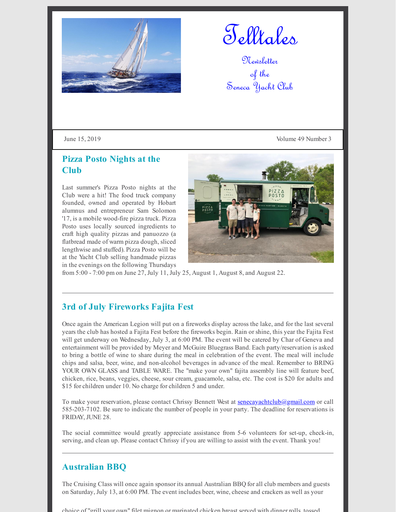

Telltales

Newsletter of the Seneca Yacht Club

June 15, 2019 Volume 49 Number 3

# **Pizza Posto Nights at the Club**

Last summer's Pizza Posto nights at the Club were a hit! The food truck company founded, owned and operated by Hobart alumnus and entrepreneur Sam Solomon '17, is a mobile wood-fire pizza truck. Pizza Posto uses locally sourced ingredients to craft high quality pizzas and panuozzo (a flatbread made of warm pizza dough, sliced lengthwise and stuffed). Pizza Posto will be at the Yacht Club selling handmade pizzas in the evenings on the following Thursdays



from 5:00 - 7:00 pm on June 27, July 11, July 25, August 1, August 8, and August 22.

## **3rd of July Fireworks Fajita Fest**

Once again the American Legion will put on a fireworks display across the lake, and for the last several years the club has hosted a Fajita Fest before the fireworks begin. Rain or shine, this year the Fajita Fest will get underway on Wednesday, July 3, at 6:00 PM. The event will be catered by Char of Geneva and entertainment will be provided by Meyer and McGuire Bluegrass Band. Each party/reservation is asked to bring a bottle of wine to share during the meal in celebration of the event. The meal will include chips and salsa, beer, wine, and non-alcohol beverages in advance of the meal. Remember to BRING YOUR OWN GLASS and TABLE WARE. The "make your own" fajita assembly line will feature beef, chicken, rice, beans, veggies, cheese, sour cream, guacamole, salsa, etc. The cost is \$20 for adults and \$15 for children under 10. No charge for children 5 and under.

To make your reservation, please contact Chrissy Bennett West at [senecayachtclub@gmail.com](mailto:senecayachtclub@gmail.com) or call 585-203-7102. Be sure to indicate the number of people in your party. The deadline for reservations is FRIDAY, JUNE 28.

The social committee would greatly appreciate assistance from 5-6 volunteers for set-up, check-in, serving, and clean up. Please contact Chrissy if you are willing to assist with the event. Thank you!

### **Australian BBQ**

The Cruising Class will once again sponsor its annual Australian BBQ for all club members and guests on Saturday, July 13, at 6:00 PM. The event includes beer, wine, cheese and crackers as well as your

choice of "grill your own" filet mignon or marinated chicken breast served with dinner rolls tossed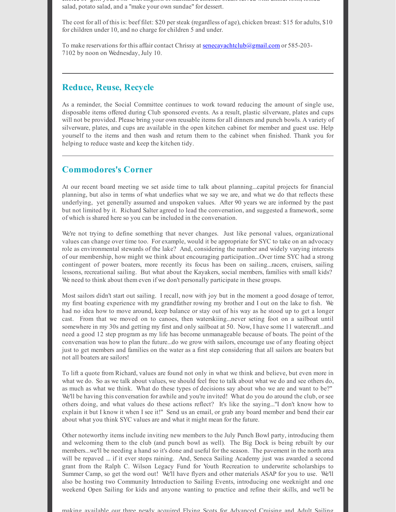choice of grill your own filet mignon or marinated chicken breast served with dinner rolls, tossed salad, potato salad, and a "make your own sundae" for dessert.

The cost for all of this is: beef filet: \$20 persteak (regardless of age), chicken breast: \$15 for adults, \$10 for children under 10, and no charge for children 5 and under.

To make reservations for this affair contact Chrissy at [senecayachtclub@gmail.com](mailto:senecayachtclub@gmail.com) or 585-203-7102 by noon on Wednesday, July 10.

#### **Reduce, Reuse, Recycle**

As a reminder, the Social Committee continues to work toward reducing the amount of single use, disposable items offered during Club sponsored events. As a result, plastic silverware, plates and cups will not be provided. Please bring your own reusable items for all dinners and punch bowls. A variety of silverware, plates, and cups are available in the open kitchen cabinet for member and guest use. Help yourself to the items and then wash and return them to the cabinet when finished. Thank you for helping to reduce waste and keep the kitchen tidy.

### **Commodores's Corner**

At our recent board meeting we set aside time to talk about planning...capital projects for financial planning, but also in terms of what underlies what we say we are, and what we do that reflects these underlying, yet generally assumed and unspoken values. After 90 years we are informed by the past but not limited by it. Richard Salter agreed to lead the conversation, and suggested a framework, some of which is shared here so you can be included in the conversation.

We're not trying to define something that never changes. Just like personal values, organizational values can change over time too. For example, would it be appropriate for SYC to take on an advocacy role as environmental stewards of the lake? And, considering the number and widely varying interests of our membership, how might we think about encouraging participation...Over time SYC had a strong contingent of power boaters, more recently its focus has been on sailing...racers, cruisers, sailing lessons, recreational sailing. But what about the Kayakers, social members, families with small kids? We need to think about them even if we don't personally participate in these groups.

Most sailors didn't start out sailing. I recall, now with joy but in the moment a good dosage of terror, my first boating experience with my grandfather rowing my brother and I out on the lake to fish. We had no idea how to move around, keep balance or stay out of his way as he stood up to get a longer cast. From that we moved on to canoes, then waterskiing...never seting foot on a sailboat until somewhere in my 30s and getting my first and only sailboat at 50. Now, I have some 11 watercraft...and need a good 12 step program as my life has become unmanageable because of boats. The point of the conversation was how to plan the future...do we grow with sailors, encourage use of any floating object just to get members and families on the water as a first step considering that all sailors are boaters but not all boaters are sailors!

To lift a quote from Richard, values are found not only in what we think and believe, but even more in what we do. So as we talk about values, we should feel free to talk about what we do and see others do, as much as what we think. What do these types of decisions say about who we are and want to be?" We'll be having this conversation for awhile and you're invited! What do you do around the club, or see others doing, and what values do these actions reflect? It's like the saying..."I don't know how to explain it but I know it when I see it!" Send us an email, or grab any board member and bend their ear about what you think SYC values are and what it might mean for the future.

Other noteworthy items include inviting new members to the July Punch Bowl party, introducing them and welcoming them to the club (and punch bowl as well). The Big Dock is being rebuilt by our members...we'll be needing a hand so it's done and useful for the season. The pavement in the north area will be repaved ... if it ever stops raining. And, Seneca Sailing Academy just was awarded a second grant from the Ralph C. Wilson Legacy Fund for Youth Recreation to underwrite scholarships to Summer Camp, so get the word out! We'll have flyers and other materials ASAP for you to use. We'll also be hosting two Community Introduction to Sailing Events, introducing one weeknight and one weekend Open Sailing for kids and anyone wanting to practice and refine their skills, and we'll be

making available our three newly acquired Flying Scots for Advanced Cruising and Adult Sailing